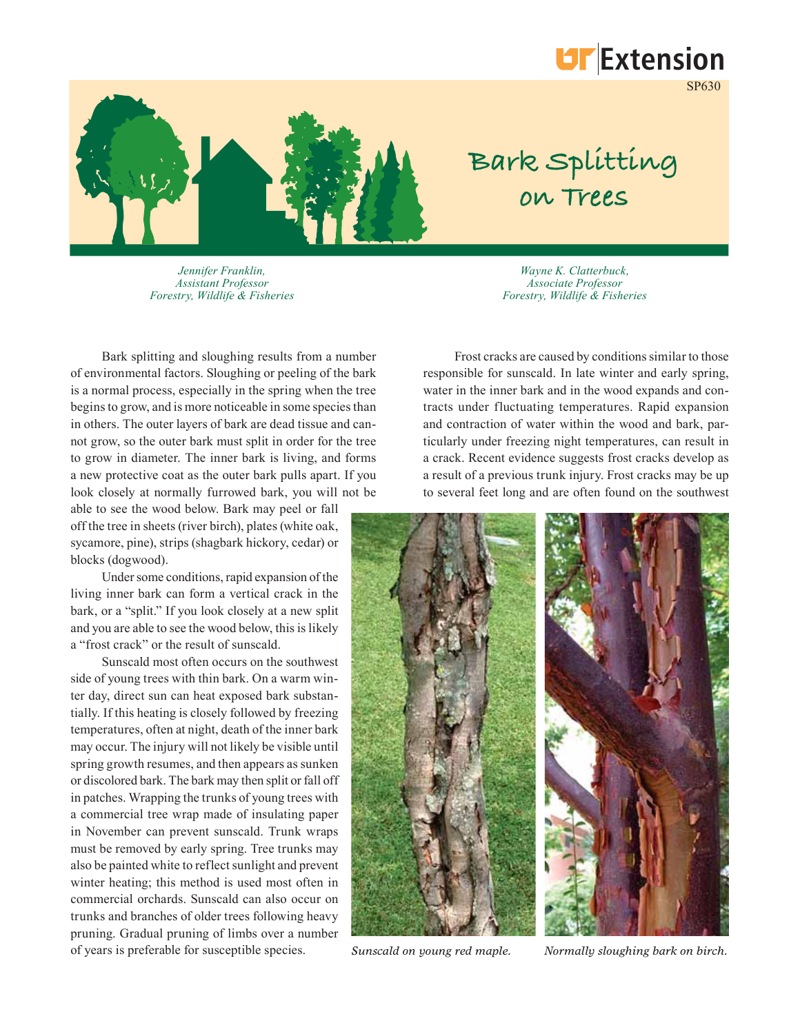

SP630



*Jennifer Franklin, Assistant Professor Forestry, Wildlife & Fisheries*

*Wayne K. Clatterbuck, Associate Professor Forestry, Wildlife & Fisheries*

**Bark Splitting** 

**on Trees**

Bark splitting and sloughing results from a number of environmental factors. Sloughing or peeling of the bark is a normal process, especially in the spring when the tree begins to grow, and is more noticeable in some species than in others. The outer layers of bark are dead tissue and cannot grow, so the outer bark must split in order for the tree to grow in diameter. The inner bark is living, and forms a new protective coat as the outer bark pulls apart. If you look closely at normally furrowed bark, you will not be

able to see the wood below. Bark may peel or fall off the tree in sheets (river birch), plates (white oak, sycamore, pine), strips (shagbark hickory, cedar) or blocks (dogwood).

Under some conditions, rapid expansion of the living inner bark can form a vertical crack in the bark, or a "split." If you look closely at a new split and you are able to see the wood below, this is likely a "frost crack" or the result of sunscald.

Sunscald most often occurs on the southwest side of young trees with thin bark. On a warm winter day, direct sun can heat exposed bark substantially. If this heating is closely followed by freezing temperatures, often at night, death of the inner bark may occur. The injury will not likely be visible until spring growth resumes, and then appears as sunken or discolored bark. The bark may then split or fall off in patches. Wrapping the trunks of young trees with a commercial tree wrap made of insulating paper in November can prevent sunscald. Trunk wraps must be removed by early spring. Tree trunks may also be painted white to reflect sunlight and prevent winter heating; this method is used most often in commercial orchards. Sunscald can also occur on trunks and branches of older trees following heavy pruning. Gradual pruning of limbs over a number of years is preferable for susceptible species.

Frost cracks are caused by conditions similar to those responsible for sunscald. In late winter and early spring, water in the inner bark and in the wood expands and contracts under fluctuating temperatures. Rapid expansion and contraction of water within the wood and bark, particularly under freezing night temperatures, can result in a crack. Recent evidence suggests frost cracks develop as a result of a previous trunk injury. Frost cracks may be up to several feet long and are often found on the southwest



*Sunscald on young red maple. Normally sloughing bark on birch.*